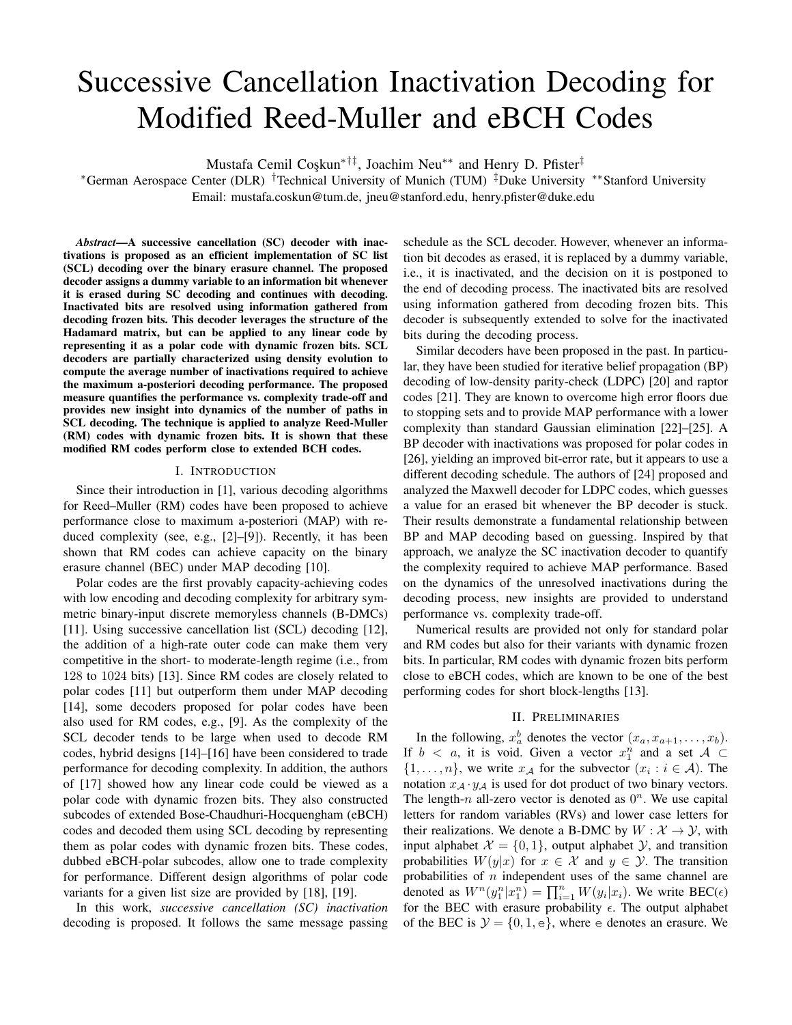# Successive Cancellation Inactivation Decoding for Modified Reed-Muller and eBCH Codes

Mustafa Cemil Coskun<sup>∗†‡</sup>, Joachim Neu<sup>∗∗</sup> and Henry D. Pfister<sup>‡</sup>

<sup>∗</sup>German Aerospace Center (DLR) †Technical University of Munich (TUM) ‡Duke University ∗∗Stanford University Email: mustafa.coskun@tum.de, jneu@stanford.edu, henry.pfister@duke.edu

*Abstract*—A successive cancellation (SC) decoder with inactivations is proposed as an efficient implementation of SC list (SCL) decoding over the binary erasure channel. The proposed decoder assigns a dummy variable to an information bit whenever it is erased during SC decoding and continues with decoding. Inactivated bits are resolved using information gathered from decoding frozen bits. This decoder leverages the structure of the Hadamard matrix, but can be applied to any linear code by representing it as a polar code with dynamic frozen bits. SCL decoders are partially characterized using density evolution to compute the average number of inactivations required to achieve the maximum a-posteriori decoding performance. The proposed measure quantifies the performance vs. complexity trade-off and provides new insight into dynamics of the number of paths in SCL decoding. The technique is applied to analyze Reed-Muller (RM) codes with dynamic frozen bits. It is shown that these modified RM codes perform close to extended BCH codes.

#### I. INTRODUCTION

Since their introduction in [1], various decoding algorithms for Reed–Muller (RM) codes have been proposed to achieve performance close to maximum a-posteriori (MAP) with reduced complexity (see, e.g., [2]–[9]). Recently, it has been shown that RM codes can achieve capacity on the binary erasure channel (BEC) under MAP decoding [10].

Polar codes are the first provably capacity-achieving codes with low encoding and decoding complexity for arbitrary symmetric binary-input discrete memoryless channels (B-DMCs) [11]. Using successive cancellation list (SCL) decoding [12], the addition of a high-rate outer code can make them very competitive in the short- to moderate-length regime (i.e., from 128 to 1024 bits) [13]. Since RM codes are closely related to polar codes [11] but outperform them under MAP decoding [14], some decoders proposed for polar codes have been also used for RM codes, e.g., [9]. As the complexity of the SCL decoder tends to be large when used to decode RM codes, hybrid designs [14]–[16] have been considered to trade performance for decoding complexity. In addition, the authors of [17] showed how any linear code could be viewed as a polar code with dynamic frozen bits. They also constructed subcodes of extended Bose-Chaudhuri-Hocquengham (eBCH) codes and decoded them using SCL decoding by representing them as polar codes with dynamic frozen bits. These codes, dubbed eBCH-polar subcodes, allow one to trade complexity for performance. Different design algorithms of polar code variants for a given list size are provided by [18], [19].

In this work, *successive cancellation (SC) inactivation* decoding is proposed. It follows the same message passing schedule as the SCL decoder. However, whenever an information bit decodes as erased, it is replaced by a dummy variable, i.e., it is inactivated, and the decision on it is postponed to the end of decoding process. The inactivated bits are resolved using information gathered from decoding frozen bits. This decoder is subsequently extended to solve for the inactivated bits during the decoding process.

Similar decoders have been proposed in the past. In particular, they have been studied for iterative belief propagation (BP) decoding of low-density parity-check (LDPC) [20] and raptor codes [21]. They are known to overcome high error floors due to stopping sets and to provide MAP performance with a lower complexity than standard Gaussian elimination [22]–[25]. A BP decoder with inactivations was proposed for polar codes in [26], yielding an improved bit-error rate, but it appears to use a different decoding schedule. The authors of [24] proposed and analyzed the Maxwell decoder for LDPC codes, which guesses a value for an erased bit whenever the BP decoder is stuck. Their results demonstrate a fundamental relationship between BP and MAP decoding based on guessing. Inspired by that approach, we analyze the SC inactivation decoder to quantify the complexity required to achieve MAP performance. Based on the dynamics of the unresolved inactivations during the decoding process, new insights are provided to understand performance vs. complexity trade-off.

Numerical results are provided not only for standard polar and RM codes but also for their variants with dynamic frozen bits. In particular, RM codes with dynamic frozen bits perform close to eBCH codes, which are known to be one of the best performing codes for short block-lengths [13].

### II. PRELIMINARIES

In the following,  $x_a^b$  denotes the vector  $(x_a, x_{a+1}, \ldots, x_b)$ . If  $b < a$ , it is void. Given a vector  $x_1^n$  and a set  $A \subset$  $\{1, \ldots, n\}$ , we write  $x_{\mathcal{A}}$  for the subvector  $(x_i : i \in \mathcal{A})$ . The notation  $x_A \cdot y_A$  is used for dot product of two binary vectors. The length- $n$  all-zero vector is denoted as  $0<sup>n</sup>$ . We use capital letters for random variables (RVs) and lower case letters for their realizations. We denote a B-DMC by  $W : \mathcal{X} \to \mathcal{Y}$ , with input alphabet  $\mathcal{X} = \{0, 1\}$ , output alphabet  $\mathcal{Y}$ , and transition probabilities  $W(y|x)$  for  $x \in \mathcal{X}$  and  $y \in \mathcal{Y}$ . The transition probabilities of  $n$  independent uses of the same channel are denoted as  $W^n(y_1^n|x_1^n) = \prod_{i=1}^n W(y_i|x_i)$ . We write BEC( $\epsilon$ ) for the BEC with erasure probability  $\epsilon$ . The output alphabet of the BEC is  $\mathcal{Y} = \{0, 1, e\}$ , where e denotes an erasure. We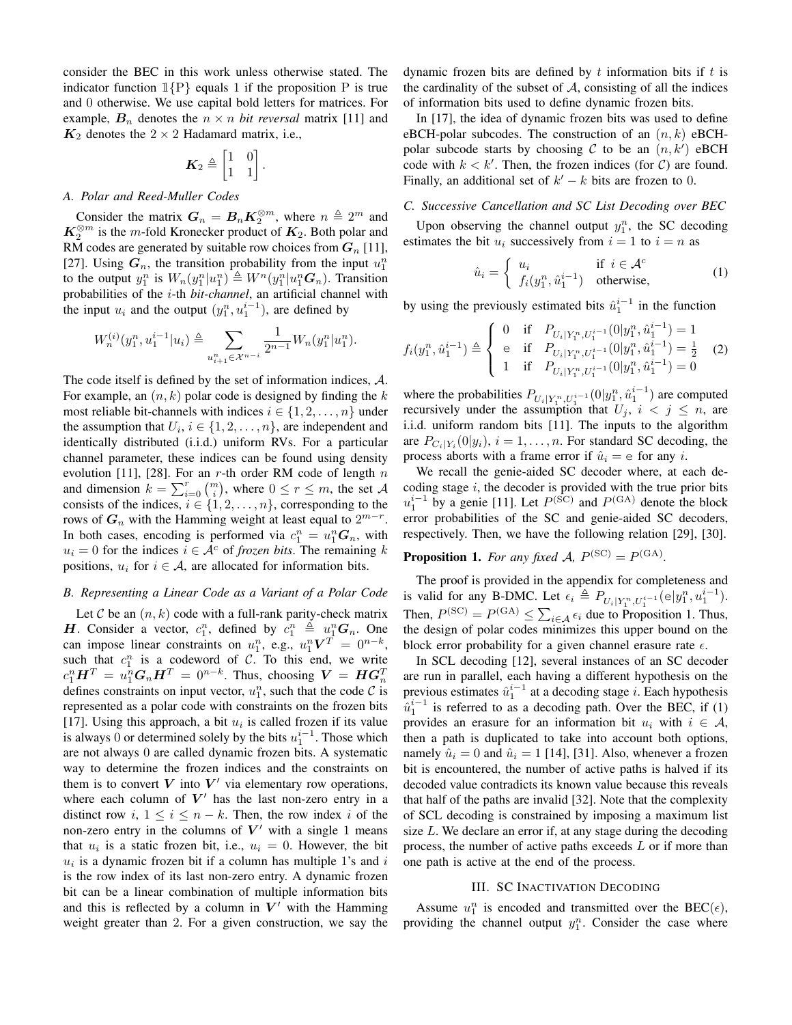consider the BEC in this work unless otherwise stated. The indicator function  $1\{P\}$  equals 1 if the proposition P is true and 0 otherwise. We use capital bold letters for matrices. For example,  $B_n$  denotes the  $n \times n$  *bit reversal* matrix [11] and  $K_2$  denotes the  $2 \times 2$  Hadamard matrix, i.e.,

$$
\boldsymbol{K}_2 \triangleq \begin{bmatrix} 1 & 0 \\ 1 & 1 \end{bmatrix}.
$$

#### *A. Polar and Reed-Muller Codes*

Consider the matrix  $G_n = B_n K_2^{\otimes m}$ , where  $n \triangleq 2^m$  and  $K_2^{\otimes m}$  is the *m*-fold Kronecker product of  $K_2$ . Both polar and RM codes are generated by suitable row choices from  $G_n$  [11], [27]. Using  $G_n$ , the transition probability from the input  $u_1^n$ to the output  $y_1^n$  is  $W_n(y_1^n|u_1^n) \triangleq W^n(y_1^n|u_1^nG_n)$ . Transition probabilities of the i-th *bit-channel*, an artificial channel with the input  $u_i$  and the output  $(y_1^n, u_1^{i-1})$ , are defined by

$$
W_n^{(i)}(y_1^n,u_1^{i-1}|u_i) \triangleq \sum_{u_{i+1}^n \in \mathcal{X}^{n-i}} \frac{1}{2^{n-1}} W_n(y_1^n|u_1^n).
$$

The code itself is defined by the set of information indices, A. For example, an  $(n, k)$  polar code is designed by finding the k most reliable bit-channels with indices  $i \in \{1, 2, \ldots, n\}$  under the assumption that  $U_i$ ,  $i \in \{1, 2, \ldots, n\}$ , are independent and identically distributed (i.i.d.) uniform RVs. For a particular channel parameter, these indices can be found using density evolution [11], [28]. For an r-th order RM code of length  $n$ and dimension  $k = \sum_{i=0}^{r} \binom{m}{i}$ , where  $0 \le r \le m$ , the set A consists of the indices,  $i \in \{1, 2, ..., n\}$ , corresponding to the rows of  $G_n$  with the Hamming weight at least equal to  $2^{m-r}$ . In both cases, encoding is performed via  $c_1^n = u_1^n G_n$ , with  $u_i = 0$  for the indices  $i \in A^c$  of *frozen bits*. The remaining k positions,  $u_i$  for  $i \in A$ , are allocated for information bits.

#### *B. Representing a Linear Code as a Variant of a Polar Code*

Let C be an  $(n, k)$  code with a full-rank parity-check matrix **H**. Consider a vector,  $c_1^n$ , defined by  $c_1^n \triangleq u_1^n G_n$ . One can impose linear constraints on  $u_1^n$ , e.g.,  $u_1^n V^T = 0^{n-k}$ , such that  $c_1^n$  is a codeword of C. To this end, we write  $c_1^n\bm{H}^T = u_1^n\bm{G}_n\bm{H}^T = 0^{n-k}.$  Thus, choosing  $\bm{V} = \bm{H}\bm{G}_n^T$ defines constraints on input vector,  $u_1^n$ , such that the code  $\mathcal C$  is represented as a polar code with constraints on the frozen bits [17]. Using this approach, a bit  $u_i$  is called frozen if its value is always 0 or determined solely by the bits  $u_1^{i-1}$ . Those which are not always 0 are called dynamic frozen bits. A systematic way to determine the frozen indices and the constraints on them is to convert  $V$  into  $V'$  via elementary row operations, where each column of  $V'$  has the last non-zero entry in a distinct row i,  $1 \le i \le n - k$ . Then, the row index i of the non-zero entry in the columns of  $V'$  with a single 1 means that  $u_i$  is a static frozen bit, i.e.,  $u_i = 0$ . However, the bit  $u_i$  is a dynamic frozen bit if a column has multiple 1's and i is the row index of its last non-zero entry. A dynamic frozen bit can be a linear combination of multiple information bits and this is reflected by a column in  $V'$  with the Hamming weight greater than 2. For a given construction, we say the dynamic frozen bits are defined by  $t$  information bits if  $t$  is the cardinality of the subset of  $A$ , consisting of all the indices of information bits used to define dynamic frozen bits.

In [17], the idea of dynamic frozen bits was used to define eBCH-polar subcodes. The construction of an  $(n, k)$  eBCHpolar subcode starts by choosing C to be an  $(n, k')$  eBCH code with  $k < k'$ . Then, the frozen indices (for C) are found. Finally, an additional set of  $k' - k$  bits are frozen to 0.

# *C. Successive Cancellation and SC List Decoding over BEC*

Upon observing the channel output  $y_1^n$ , the SC decoding estimates the bit  $u_i$  successively from  $i = 1$  to  $i = n$  as

$$
\hat{u}_i = \begin{cases} u_i & \text{if } i \in \mathcal{A}^c \\ f_i(y_1^n, \hat{u}_1^{i-1}) & \text{otherwise,} \end{cases}
$$
 (1)

by using the previously estimated bits  $\hat{u}_1^{i-1}$  in the function

$$
f_i(y_1^n, \hat{u}_1^{i-1}) \triangleq \begin{cases} 0 & \text{if} \quad P_{U_i|Y_1^n, U_1^{i-1}}(0|y_1^n, \hat{u}_1^{i-1}) = 1 \\ e & \text{if} \quad P_{U_i|Y_1^n, U_1^{i-1}}(0|y_1^n, \hat{u}_1^{i-1}) = \frac{1}{2} \\ 1 & \text{if} \quad P_{U_i|Y_1^n, U_1^{i-1}}(0|y_1^n, \hat{u}_1^{i-1}) = 0 \end{cases}
$$
 (2)

where the probabilities  $P_{U_i|Y_1^n, U_1^{i-1}}(0|y_1^n, \hat{u}_1^{i-1})$  are computed recursively under the assumption that  $U_j$ ,  $i < j \leq n$ , are i.i.d. uniform random bits [11]. The inputs to the algorithm are  $P_{C_i|Y_i}(0|y_i)$ ,  $i = 1, \ldots, n$ . For standard SC decoding, the process aborts with a frame error if  $\hat{u}_i = e$  for any i.

We recall the genie-aided SC decoder where, at each decoding stage  $i$ , the decoder is provided with the true prior bits  $u_1^{i-1}$  by a genie [11]. Let  $P^{(\text{SC})}$  and  $P^{(\text{GA})}$  denote the block error probabilities of the SC and genie-aided SC decoders, respectively. Then, we have the following relation [29], [30].

# **Proposition 1.** For any fixed A,  $P^{(\text{SC})} = P^{(\text{GA})}$ .

The proof is provided in the appendix for completeness and is valid for any B-DMC. Let  $\epsilon_i \triangleq P_{U_i|Y_1^n, U_1^{i-1}}(e|y_1^n, u_1^{i-1}).$ Then,  $P^{(\text{SC})} = P^{(\text{GA})} \le \sum_{i \in A} \epsilon_i$  due to Proposition 1. Thus, the design of polar codes minimizes this upper bound on the block error probability for a given channel erasure rate  $\epsilon$ .

In SCL decoding [12], several instances of an SC decoder are run in parallel, each having a different hypothesis on the previous estimates  $\hat{u}_1^{i-1}$  at a decoding stage *i*. Each hypothesis  $\hat{u}_1^{i-1}$  is referred to as a decoding path. Over the BEC, if (1) provides an erasure for an information bit  $u_i$  with  $i \in \mathcal{A}$ , then a path is duplicated to take into account both options, namely  $\hat{u}_i = 0$  and  $\hat{u}_i = 1$  [14], [31]. Also, whenever a frozen bit is encountered, the number of active paths is halved if its decoded value contradicts its known value because this reveals that half of the paths are invalid [32]. Note that the complexity of SCL decoding is constrained by imposing a maximum list size L. We declare an error if, at any stage during the decoding process, the number of active paths exceeds  $L$  or if more than one path is active at the end of the process.

#### III. SC INACTIVATION DECODING

Assume  $u_1^n$  is encoded and transmitted over the BEC( $\epsilon$ ), providing the channel output  $y_1^n$ . Consider the case where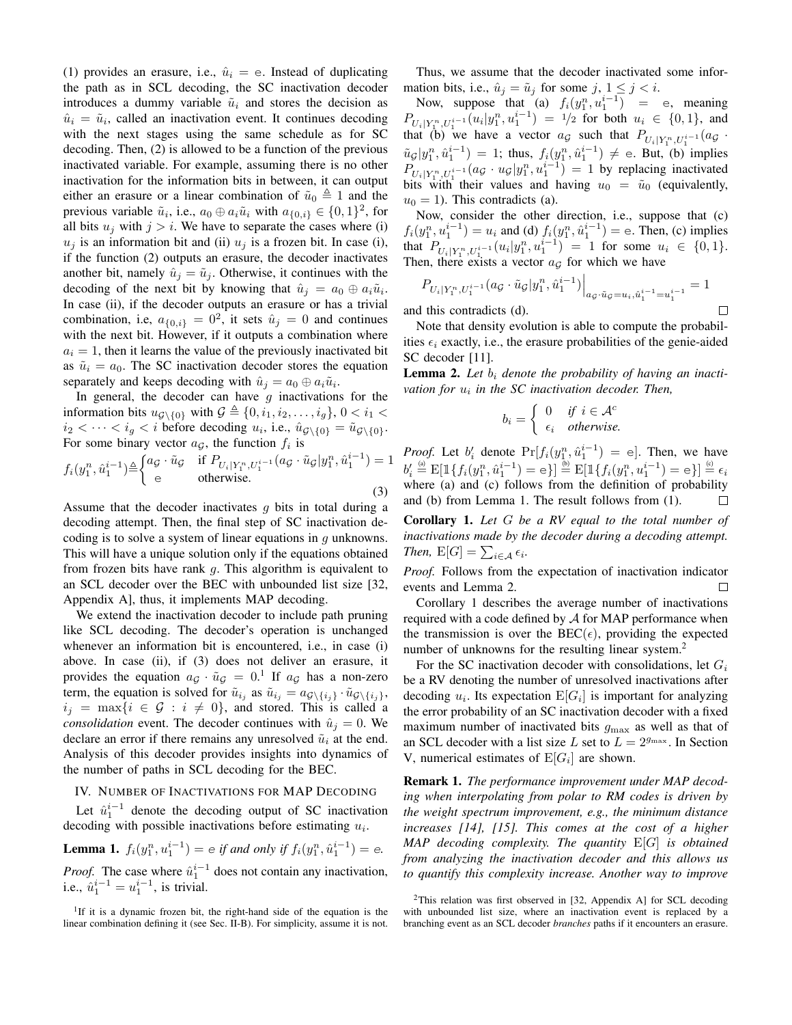(1) provides an erasure, i.e.,  $\hat{u}_i = e$ . Instead of duplicating the path as in SCL decoding, the SC inactivation decoder introduces a dummy variable  $\tilde{u}_i$  and stores the decision as  $\hat{u}_i = \tilde{u}_i$ , called an inactivation event. It continues decoding with the next stages using the same schedule as for SC decoding. Then, (2) is allowed to be a function of the previous inactivated variable. For example, assuming there is no other inactivation for the information bits in between, it can output either an erasure or a linear combination of  $\tilde{u}_0 \triangleq 1$  and the previous variable  $\tilde{u}_i$ , i.e.,  $a_0 \oplus a_i \tilde{u}_i$  with  $a_{\{0,i\}} \in \{0,1\}^2$ , for all bits  $u_j$  with  $j > i$ . We have to separate the cases where (i)  $u_j$  is an information bit and (ii)  $u_j$  is a frozen bit. In case (i), if the function (2) outputs an erasure, the decoder inactivates another bit, namely  $\hat{u}_j = \tilde{u}_j$ . Otherwise, it continues with the decoding of the next bit by knowing that  $\hat{u}_j = a_0 \oplus a_i \tilde{u}_i$ . In case (ii), if the decoder outputs an erasure or has a trivial combination, i.e,  $a_{\{0,i\}} = 0^2$ , it sets  $\hat{u}_j = 0$  and continues with the next bit. However, if it outputs a combination where  $a_i = 1$ , then it learns the value of the previously inactivated bit as  $\tilde{u}_i = a_0$ . The SC inactivation decoder stores the equation separately and keeps decoding with  $\hat{u}_j = a_0 \oplus a_i \tilde{u}_i$ .

In general, the decoder can have  $g$  inactivations for the information bits  $u_{\mathcal{G}\backslash\{0\}}$  with  $\mathcal{G} \triangleq \{0, i_1, i_2, \ldots, i_q\}, 0 < i_1 <$  $i_2 < \cdots < i_g < i$  before decoding  $u_i$ , i.e.,  $\hat{u}_{\mathcal{G}\setminus\{0\}} = \tilde{u}_{\mathcal{G}\setminus\{0\}}$ . For some binary vector  $a_{\mathcal{G}}$ , the function  $f_i$  is

$$
f_i(y_1^n, \hat{u}_1^{i-1}) \triangleq \begin{cases} a_{\mathcal{G}} \cdot \tilde{u}_{\mathcal{G}} & \text{if } P_{U_i|Y_1^n, U_1^{i-1}}(a_{\mathcal{G}} \cdot \tilde{u}_{\mathcal{G}} | y_1^n, \hat{u}_1^{i-1}) = 1\\ \text{e} & \text{otherwise.} \end{cases}
$$
(3)

Assume that the decoder inactivates  $q$  bits in total during a decoding attempt. Then, the final step of SC inactivation decoding is to solve a system of linear equations in  $q$  unknowns. This will have a unique solution only if the equations obtained from frozen bits have rank  $q$ . This algorithm is equivalent to an SCL decoder over the BEC with unbounded list size [32, Appendix A], thus, it implements MAP decoding.

We extend the inactivation decoder to include path pruning like SCL decoding. The decoder's operation is unchanged whenever an information bit is encountered, i.e., in case (i) above. In case (ii), if (3) does not deliver an erasure, it provides the equation  $a_g \cdot \tilde{u}_g = 0$ .<sup>1</sup> If  $a_g$  has a non-zero term, the equation is solved for  $\tilde{u}_{i_j}$  as  $\tilde{u}_{i_j} = a_{\mathcal{G}\setminus\{i_j\}} \cdot \tilde{u}_{\mathcal{G}\setminus\{i_j\}},$  $i_j = \max\{i \in \mathcal{G} : i \neq 0\}$ , and stored. This is called a *consolidation* event. The decoder continues with  $\hat{u}_i = 0$ . We declare an error if there remains any unresolved  $\tilde{u}_i$  at the end. Analysis of this decoder provides insights into dynamics of the number of paths in SCL decoding for the BEC.

#### IV. NUMBER OF INACTIVATIONS FOR MAP DECODING

Let  $\hat{u}_1^{i-1}$  denote the decoding output of SC inactivation decoding with possible inactivations before estimating  $u_i$ .

**Lemma 1.** 
$$
f_i(y_1^n, u_1^{i-1}) = e
$$
 if and only if  $f_i(y_1^n, \hat{u}_1^{i-1}) = e$ .

*Proof.* The case where  $\hat{u}_1^{i-1}$  does not contain any inactivation, i.e.,  $\hat{u}_1^{i-1} = u_1^{i-1}$ , is trivial.

<sup>1</sup>If it is a dynamic frozen bit, the right-hand side of the equation is the linear combination defining it (see Sec. II-B). For simplicity, assume it is not.

Thus, we assume that the decoder inactivated some information bits, i.e.,  $\hat{u}_j = \tilde{u}_j$  for some  $j, 1 \leq j < i$ .

Now, suppose that (a)  $f_i(y_1^n, u_1^{i-1})$  = e, meaning  $P_{U_i|Y_1^n, U_1^{i-1}}(u_i|y_1^n, u_1^{i-1}) = 1/2$  for both  $u_i \in \{0, 1\}$ , and that (b) we have a vector  $a_g$  such that  $P_{U_i|Y_1^n, U_1^{i-1}}(a_g \cdot$  $\tilde{u}_{\mathcal{G}}|y_1^n, \hat{u}_1^{i-1}) = 1$ ; thus,  $f_i(y_1^n, \hat{u}_1^{i-1}) \neq e$ . But, (b) implies  $P_{U_i|Y_1^n, U_1^{i-1}}(a_{\mathcal{G}} \cdot u_{\mathcal{G}}|y_1^n, u_1^{i-1}) = 1$  by replacing inactivated bits with their values and having  $u_0 = \tilde{u}_0$  (equivalently,  $u_0 = 1$ ). This contradicts (a).

Now, consider the other direction, i.e., suppose that (c)  $f_i(y_1^n, u_1^{i-1}) = u_i$  and (d)  $f_i(y_1^n, \hat{u}_1^{i-1}) = e$ . Then, (c) implies that  $P_{U_i|Y_1^n, U_1^{i-1}}(u_i|y_1^n, u_1^{i-1}) = 1$  for some  $u_i \in \{0, 1\}.$ Then, there exists a vector  $a_{\mathcal{G}}$  for which we have

$$
P_{U_i|Y_1^n, U_1^{i-1}}(a_{\mathcal{G}} \cdot \tilde{u}_{\mathcal{G}}|y_1^n, \hat{u}_1^{i-1})\Big|_{a_{\mathcal{G}} \cdot \tilde{u}_{\mathcal{G}}=u_i, \hat{u}_1^{i-1}=u_1^{i-1}} = 1
$$
  
this contradicts (d).

and this contradicts (d).

Note that density evolution is able to compute the probabilities  $\epsilon_i$  exactly, i.e., the erasure probabilities of the genie-aided SC decoder [11].

**Lemma 2.** Let  $b_i$  denote the probability of having an inactivation for  $u_i$  in the SC inactivation decoder. Then,

$$
b_i = \begin{cases} 0 & \text{if } i \in \mathcal{A}^c \\ \epsilon_i & \text{otherwise.} \end{cases}
$$

*Proof.* Let  $b'_i$  denote  $\Pr[f_i(y_1^n, \hat{u}_1^{i-1})] = e]$ . Then, we have  $b_i' \stackrel{\text{\tiny (a)}}{=} \mathrm{E}[\mathbbm{1}\{f_i(y_1^n,\hat{u}_1^{i-1}) = \mathrm{e}\}] \stackrel{\text{\tiny (b)}}{=} \mathrm{E}[\mathbbm{1}\{f_i(y_1^n,u_1^{i-1}) = \mathrm{e}\}] \stackrel{\text{\tiny (c)}}{=} \epsilon_i$ where (a) and (c) follows from the definition of probability and (b) from Lemma 1. The result follows from (1).  $\Box$ 

Corollary 1. *Let* G *be a RV equal to the total number of inactivations made by the decoder during a decoding attempt. Then,*  $E[G] = \sum_{i \in A} \epsilon_i$ .

*Proof.* Follows from the expectation of inactivation indicator events and Lemma 2.

Corollary 1 describes the average number of inactivations required with a code defined by  $A$  for MAP performance when the transmission is over the BEC( $\epsilon$ ), providing the expected number of unknowns for the resulting linear system.<sup>2</sup>

For the SC inactivation decoder with consolidations, let  $G_i$ be a RV denoting the number of unresolved inactivations after decoding  $u_i$ . Its expectation  $E[G_i]$  is important for analyzing the error probability of an SC inactivation decoder with a fixed maximum number of inactivated bits  $g_{\text{max}}$  as well as that of an SCL decoder with a list size L set to  $L = 2^{g_{\text{max}}}$ . In Section V, numerical estimates of  $E[G_i]$  are shown.

Remark 1. *The performance improvement under MAP decoding when interpolating from polar to RM codes is driven by the weight spectrum improvement, e.g., the minimum distance increases [14], [15]. This comes at the cost of a higher MAP decoding complexity. The quantity* E[G] *is obtained from analyzing the inactivation decoder and this allows us to quantify this complexity increase. Another way to improve*

 $2$ This relation was first observed in [32, Appendix A] for SCL decoding with unbounded list size, where an inactivation event is replaced by a branching event as an SCL decoder *branches* paths if it encounters an erasure.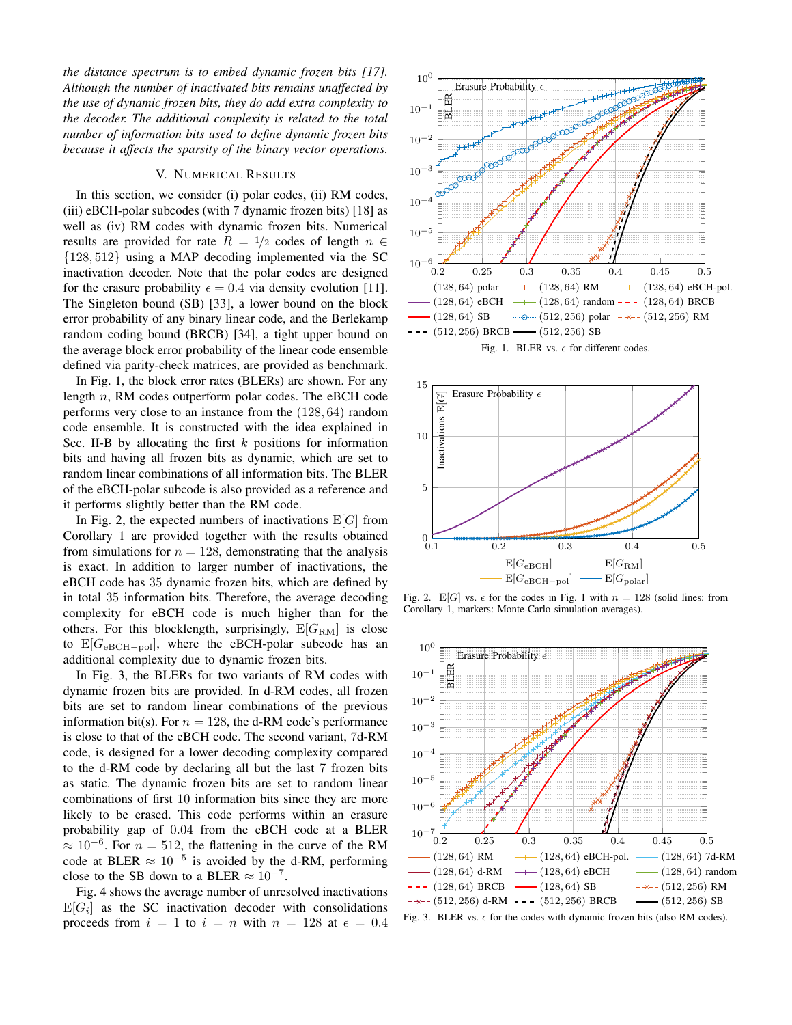*the distance spectrum is to embed dynamic frozen bits [17]. Although the number of inactivated bits remains unaffected by the use of dynamic frozen bits, they do add extra complexity to the decoder. The additional complexity is related to the total number of information bits used to define dynamic frozen bits because it affects the sparsity of the binary vector operations.*

# V. NUMERICAL RESULTS

In this section, we consider (i) polar codes, (ii) RM codes, (iii) eBCH-polar subcodes (with 7 dynamic frozen bits) [18] as well as (iv) RM codes with dynamic frozen bits. Numerical results are provided for rate  $R = \frac{1}{2}$  codes of length  $n \in$ {128, 512} using a MAP decoding implemented via the SC inactivation decoder. Note that the polar codes are designed for the erasure probability  $\epsilon = 0.4$  via density evolution [11]. The Singleton bound (SB) [33], a lower bound on the block error probability of any binary linear code, and the Berlekamp random coding bound (BRCB) [34], a tight upper bound on the average block error probability of the linear code ensemble defined via parity-check matrices, are provided as benchmark.

In Fig. 1, the block error rates (BLERs) are shown. For any length n, RM codes outperform polar codes. The eBCH code performs very close to an instance from the (128, 64) random code ensemble. It is constructed with the idea explained in Sec. II-B by allocating the first  $k$  positions for information bits and having all frozen bits as dynamic, which are set to random linear combinations of all information bits. The BLER of the eBCH-polar subcode is also provided as a reference and it performs slightly better than the RM code.

In Fig. 2, the expected numbers of inactivations  $E[G]$  from Corollary 1 are provided together with the results obtained from simulations for  $n = 128$ , demonstrating that the analysis is exact. In addition to larger number of inactivations, the eBCH code has 35 dynamic frozen bits, which are defined by in total 35 information bits. Therefore, the average decoding complexity for eBCH code is much higher than for the others. For this blocklength, surprisingly,  $E[G_{RM}]$  is close to  $E[G_{eBCH-pol}]$ , where the eBCH-polar subcode has an additional complexity due to dynamic frozen bits.

In Fig. 3, the BLERs for two variants of RM codes with dynamic frozen bits are provided. In d-RM codes, all frozen bits are set to random linear combinations of the previous information bit(s). For  $n = 128$ , the d-RM code's performance is close to that of the eBCH code. The second variant, 7d-RM code, is designed for a lower decoding complexity compared to the d-RM code by declaring all but the last 7 frozen bits as static. The dynamic frozen bits are set to random linear combinations of first 10 information bits since they are more likely to be erased. This code performs within an erasure probability gap of 0.04 from the eBCH code at a BLER  $\approx 10^{-6}$ . For  $n = 512$ , the flattening in the curve of the RM code at BLER  $\approx 10^{-5}$  is avoided by the d-RM, performing close to the SB down to a BLER  $\approx 10^{-7}$ .

Fig. 4 shows the average number of unresolved inactivations  $E[G_i]$  as the SC inactivation decoder with consolidations proceeds from  $i = 1$  to  $i = n$  with  $n = 128$  at  $\epsilon = 0.4$ 



Fig. 1. BLER vs.  $\epsilon$  for different codes.



Fig. 2.  $E[G]$  vs.  $\epsilon$  for the codes in Fig. 1 with  $n = 128$  (solid lines: from Corollary 1, markers: Monte-Carlo simulation averages).

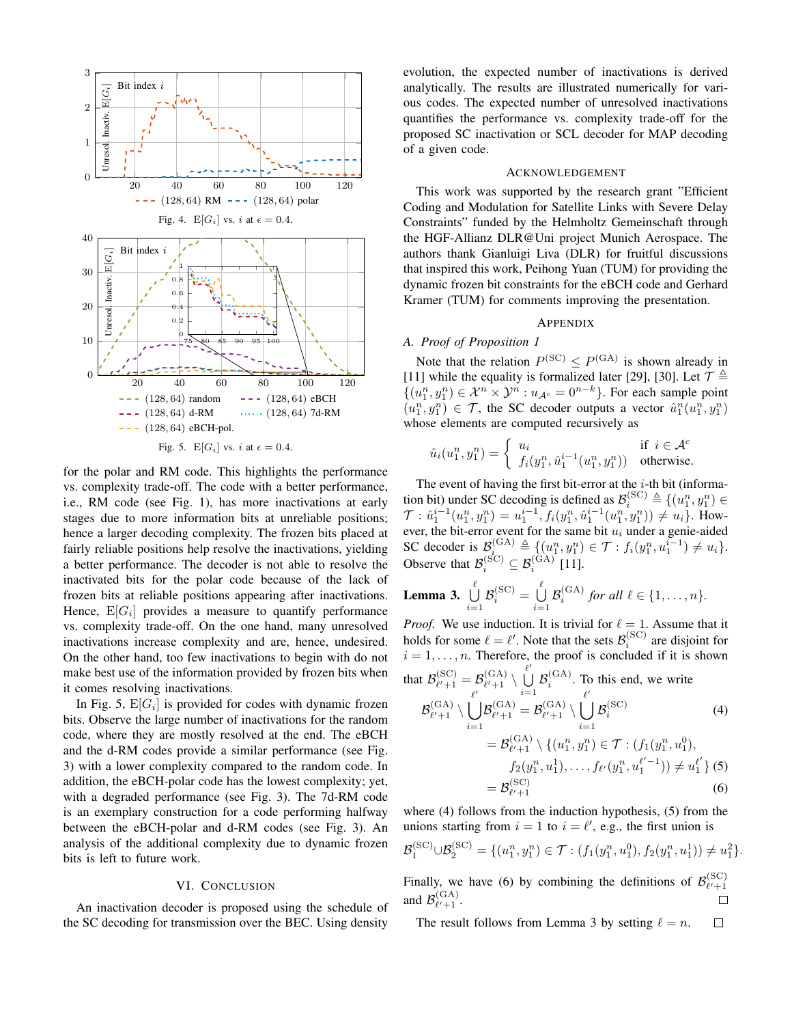

for the polar and RM code. This highlights the performance vs. complexity trade-off. The code with a better performance, i.e., RM code (see Fig. 1), has more inactivations at early stages due to more information bits at unreliable positions; hence a larger decoding complexity. The frozen bits placed at fairly reliable positions help resolve the inactivations, yielding a better performance. The decoder is not able to resolve the inactivated bits for the polar code because of the lack of frozen bits at reliable positions appearing after inactivations. Hence,  $E[G_i]$  provides a measure to quantify performance vs. complexity trade-off. On the one hand, many unresolved inactivations increase complexity and are, hence, undesired. On the other hand, too few inactivations to begin with do not make best use of the information provided by frozen bits when it comes resolving inactivations.

In Fig. 5,  $\mathbb{E}[G_i]$  is provided for codes with dynamic frozen bits. Observe the large number of inactivations for the random code, where they are mostly resolved at the end. The eBCH and the d-RM codes provide a similar performance (see Fig. 3) with a lower complexity compared to the random code. In addition, the eBCH-polar code has the lowest complexity; yet, with a degraded performance (see Fig. 3). The 7d-RM code is an exemplary construction for a code performing halfway between the eBCH-polar and d-RM codes (see Fig. 3). An analysis of the additional complexity due to dynamic frozen bits is left to future work.

# VI. CONCLUSION

An inactivation decoder is proposed using the schedule of the SC decoding for transmission over the BEC. Using density evolution, the expected number of inactivations is derived analytically. The results are illustrated numerically for various codes. The expected number of unresolved inactivations quantifies the performance vs. complexity trade-off for the proposed SC inactivation or SCL decoder for MAP decoding of a given code.

### ACKNOWLEDGEMENT

This work was supported by the research grant "Efficient Coding and Modulation for Satellite Links with Severe Delay Constraints" funded by the Helmholtz Gemeinschaft through the HGF-Allianz DLR@Uni project Munich Aerospace. The authors thank Gianluigi Liva (DLR) for fruitful discussions that inspired this work, Peihong Yuan (TUM) for providing the dynamic frozen bit constraints for the eBCH code and Gerhard Kramer (TUM) for comments improving the presentation.

#### APPENDIX

#### *A. Proof of Proposition 1*

Note that the relation  $P^{(\text{SC})} \leq P^{(\text{GA})}$  is shown already in [11] while the equality is formalized later [29], [30]. Let  $\mathcal{T} \triangleq$  $\{(u_1^n, y_1^n) \in \mathcal{X}^n \times \mathcal{Y}^n : u_{\mathcal{A}^c} = 0^{n-k}\}.$  For each sample point  $(u_1^n, y_1^n) \in \mathcal{T}$ , the SC decoder outputs a vector  $\hat{u}_1^n(u_1^n, y_1^n)$ whose elements are computed recursively as

$$
\hat{u}_i(u_1^n,y_1^n)=\left\{\begin{array}{ll}u_i&\text{if }i\in\mathcal{A}^c\\f_i(y_1^n,\hat{u}_1^{i-1}(u_1^n,y_1^n))&\text{otherwise.}\end{array}\right.
$$

The event of having the first bit-error at the  $i$ -th bit (information bit) under SC decoding is defined as  $\mathcal{B}_i^{\text{(SC)}} \triangleq \{(u_1^n, y_1^n) \in$  $\mathcal{T}: \hat{u}_1^{i-1}(u_1^n, y_1^n) = u_1^{i-1}, f_i(y_1^n, \hat{u}_1^{i-1}(u_1^n, y_1^n)) \neq u_i$ . However, the bit-error event for the same bit  $u_i$  under a genie-aided SC decoder is  $\mathcal{B}_{i_0}^{(GA)} \triangleq \{(u_1^n, y_1^n) \in \mathcal{T} : f_i(y_1^n, u_1^{i-1}) \neq u_i\}.$ Observe that  $\mathcal{B}_i^{(\text{SC})} \subseteq \mathcal{B}_i^{(\text{GA})}$  [11].

**Lemma 3.** 
$$
\bigcup_{i=1}^{\ell} \mathcal{B}_i^{(\text{SC})} = \bigcup_{i=1}^{\ell} \mathcal{B}_i^{(\text{GA})} \text{ for all } \ell \in \{1, \ldots, n\}.
$$

*Proof.* We use induction. It is trivial for  $\ell = 1$ . Assume that it holds for some  $\ell = \ell'$ . Note that the sets  $\mathcal{B}_i^{\text{(SC)}}$  are disjoint for  $i = 1, \ldots, n$ . Therefore, the proof is concluded if it is shown that  $\mathcal{B}_{\ell'+1}^{(\text{SC})}$  $\ell_{\ell'+1}^{\mathrm{(SC)}} = \mathcal{B}_{\ell'+1}^{\mathrm{(GA)}}$  $\overset{\text{(GA)}}{\ell'+1} \setminus \overset{\ell'}{\bigcup}$ U  $i=1$  $\mathcal{B}_i^{\text{(GA)}}$ . To this end, we write  $\ell'$   $i=1$   $\ell'$ 

$$
\mathcal{B}_{\ell'+1}^{(\text{GA})} \setminus \bigcup_{i=1}^{\ell} \mathcal{B}_{\ell'+1}^{(\text{GA})} = \mathcal{B}_{\ell'+1}^{(\text{GA})} \setminus \bigcup_{i=1}^{\ell} \mathcal{B}_i^{(\text{SC})}
$$
(4)  

$$
= \mathcal{B}_{\ell'+1}^{(\text{GA})} \setminus \{(u_1^n, y_1^n) \in \mathcal{T} : (f_1(y_1^n, u_1^0),
$$

$$
f_2(y_1^n, u_1^1), \dots, f_{\ell'}(y_1^n, u_1^{\ell'-1})) \neq u_1^{\ell'} \} (5)
$$

$$
= \mathcal{B}_{\ell'+1}^{(\text{SC})}
$$
(6)

where (4) follows from the induction hypothesis, (5) from the unions starting from  $i = 1$  to  $i = \ell'$ , e.g., the first union is

$$
\mathcal{B}_1^{(\text{SC})} \cup \mathcal{B}_2^{(\text{SC})} = \{ (u_1^n, y_1^n) \in \mathcal{T} : (f_1(y_1^n, u_1^0), f_2(y_1^n, u_1^1)) \neq u_1^2 \}.
$$

Finally, we have (6) by combining the definitions of  $\mathcal{B}_{\ell'+1}^{(\mathrm{SC})}$  $\ell'+1$ and  $\mathcal{B}_{\ell'+1}^{(GA)}$  $\frac{(GA)}{\ell'+1}$ .  $\Box$ 

The result follows from Lemma 3 by setting  $\ell = n$ .  $\Box$